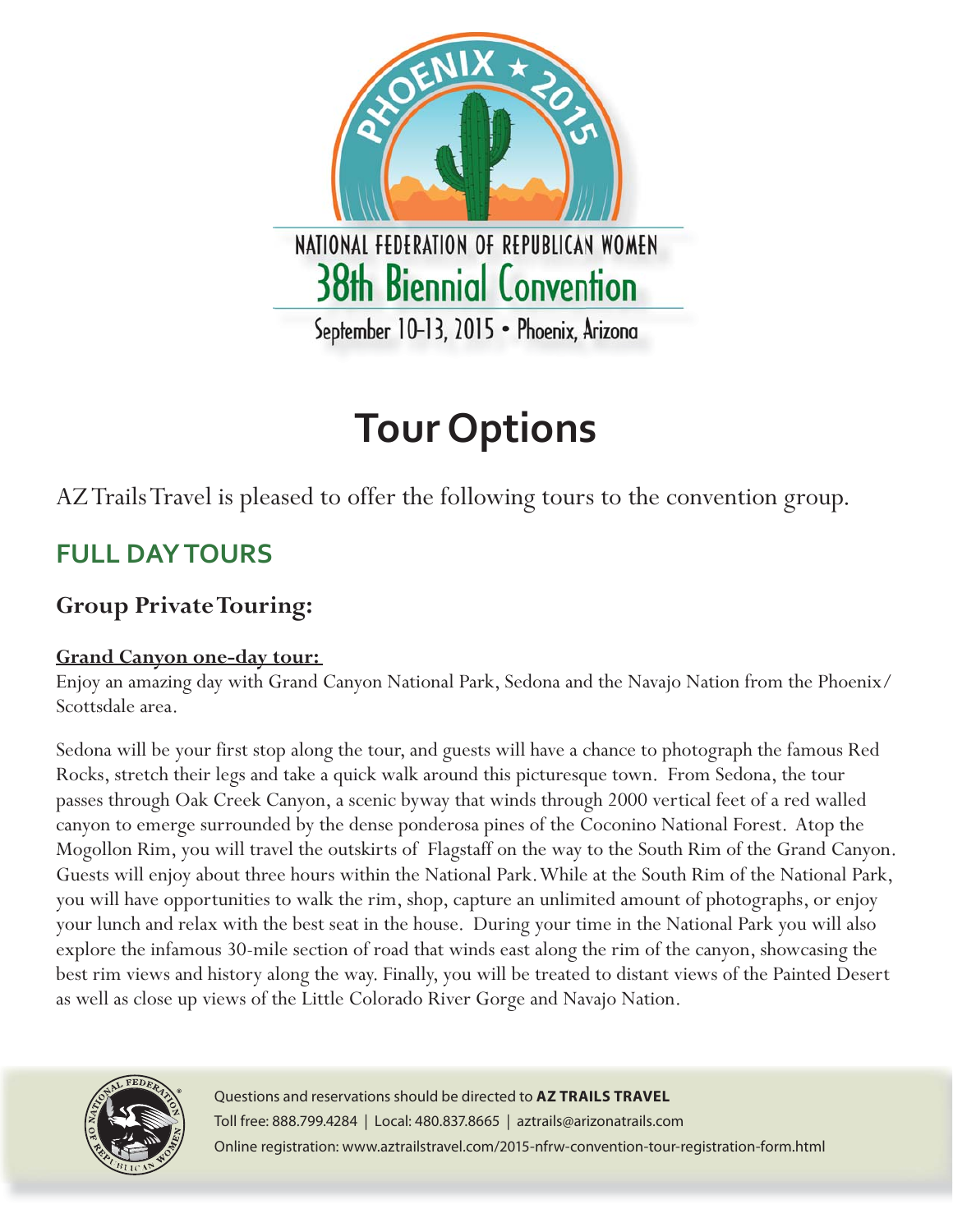

# **Tour Options**

### AZ Trails Travel is pleased to offer the following tours to the convention group.

## **FULL DAY TOURS**

### **Group Private Touring:**

### **Grand Canyon one-day tour:**

Enjoy an amazing day with Grand Canyon National Park, Sedona and the Navajo Nation from the Phoenix/ Scottsdale area.

Sedona will be your first stop along the tour, and guests will have a chance to photograph the famous Red Rocks, stretch their legs and take a quick walk around this picturesque town. From Sedona, the tour passes through Oak Creek Canyon, a scenic byway that winds through 2000 vertical feet of a red walled canyon to emerge surrounded by the dense ponderosa pines of the Coconino National Forest. Atop the Mogollon Rim, you will travel the outskirts of Flagstaff on the way to the South Rim of the Grand Canyon. Guests will enjoy about three hours within the National Park. While at the South Rim of the National Park, you will have opportunities to walk the rim, shop, capture an unlimited amount of photographs, or enjoy your lunch and relax with the best seat in the house. During your time in the National Park you will also explore the infamous 30-mile section of road that winds east along the rim of the canyon, showcasing the best rim views and history along the way. Finally, you will be treated to distant views of the Painted Desert as well as close up views of the Little Colorado River Gorge and Navajo Nation.



Questions and reservations should be directed to **AZ TRAILS TRAVEL** Toll free: 888.799.4284 | Local: 480.837.8665 | aztrails@arizonatrails.com Online registration: www.aztrailstravel.com/2015-nfrw-convention-tour-registration-form.html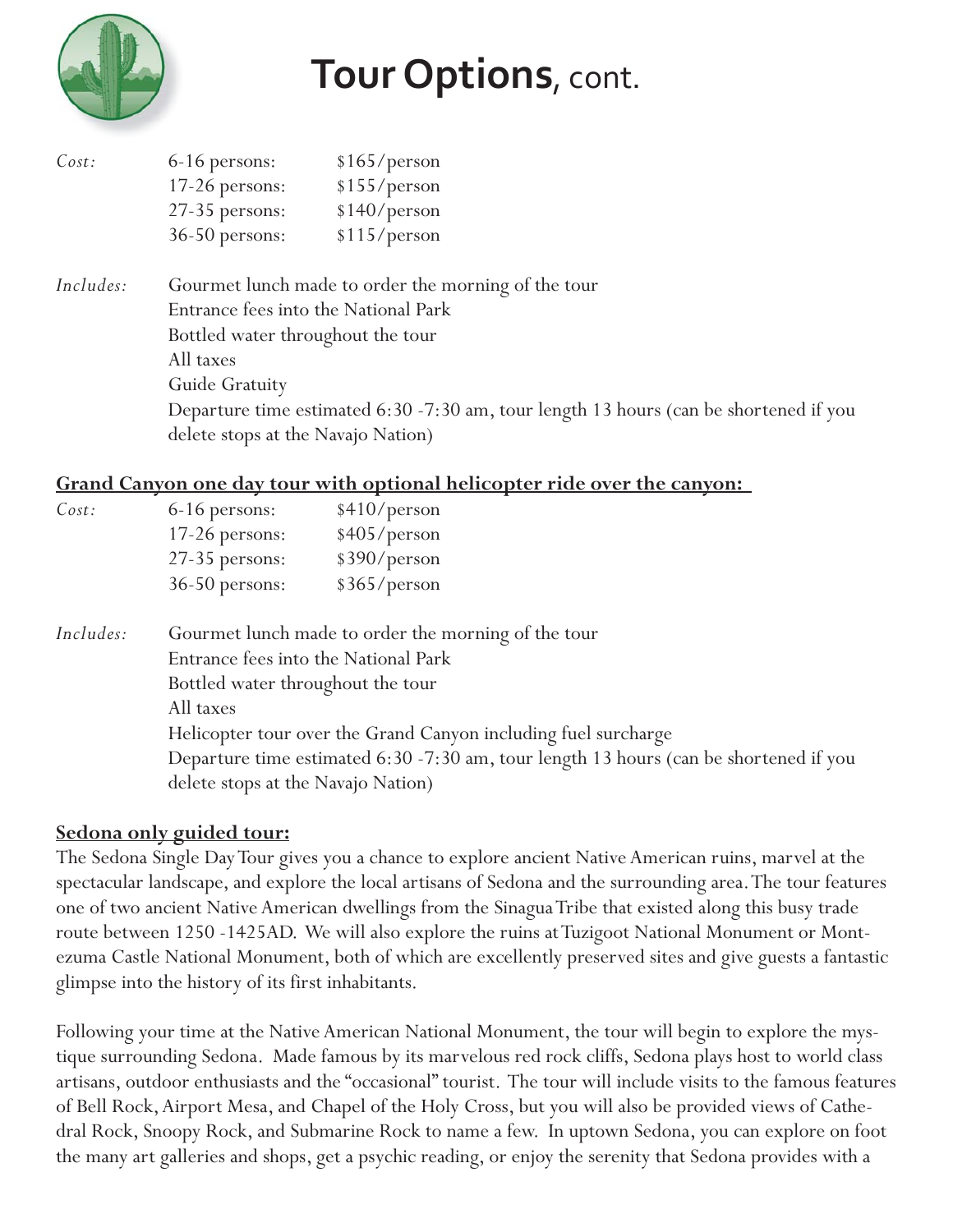

| Cost: | 6-16 persons:    | \$165/person |
|-------|------------------|--------------|
|       | $17-26$ persons: | \$155/person |
|       | 27-35 persons:   | \$140/person |
|       | 36-50 persons:   | \$115/person |

*Includes:* Gourmet lunch made to order the morning of the tour Entrance fees into the National Park Bottled water throughout the tour All taxes Guide Gratuity Departure time estimated 6:30 -7:30 am, tour length 13 hours (can be shortened if you delete stops at the Navajo Nation)

#### **Grand Canyon one day tour with optional helicopter ride over the canyon:**

| Cost:     | 6-16 persons:                                                  | \$410/person                                                                          |  |
|-----------|----------------------------------------------------------------|---------------------------------------------------------------------------------------|--|
|           | 17-26 persons:                                                 | \$405/person                                                                          |  |
|           | 27-35 persons:                                                 | \$390/person                                                                          |  |
|           | $36-50$ persons:                                               | \$365/person                                                                          |  |
| Includes: | Gourmet lunch made to order the morning of the tour            |                                                                                       |  |
|           | Entrance fees into the National Park                           |                                                                                       |  |
|           | Bottled water throughout the tour                              |                                                                                       |  |
|           | All taxes                                                      |                                                                                       |  |
|           | Helicopter tour over the Grand Canyon including fuel surcharge |                                                                                       |  |
|           |                                                                | Departure time estimated 6:30 -7:30 am, tour length 13 hours (can be shortened if you |  |
|           | delete stops at the Navajo Nation)                             |                                                                                       |  |

### **Sedona only guided tour:**

The Sedona Single Day Tour gives you a chance to explore ancient Native American ruins, marvel at the spectacular landscape, and explore the local artisans of Sedona and the surrounding area. The tour features one of two ancient Native American dwellings from the Sinagua Tribe that existed along this busy trade route between 1250 -1425AD. We will also explore the ruins at Tuzigoot National Monument or Montezuma Castle National Monument, both of which are excellently preserved sites and give guests a fantastic glimpse into the history of its first inhabitants.

Following your time at the Native American National Monument, the tour will begin to explore the mystique surrounding Sedona. Made famous by its marvelous red rock cliffs, Sedona plays host to world class artisans, outdoor enthusiasts and the "occasional" tourist. The tour will include visits to the famous features of Bell Rock, Airport Mesa, and Chapel of the Holy Cross, but you will also be provided views of Cathedral Rock, Snoopy Rock, and Submarine Rock to name a few. In uptown Sedona, you can explore on foot the many art galleries and shops, get a psychic reading, or enjoy the serenity that Sedona provides with a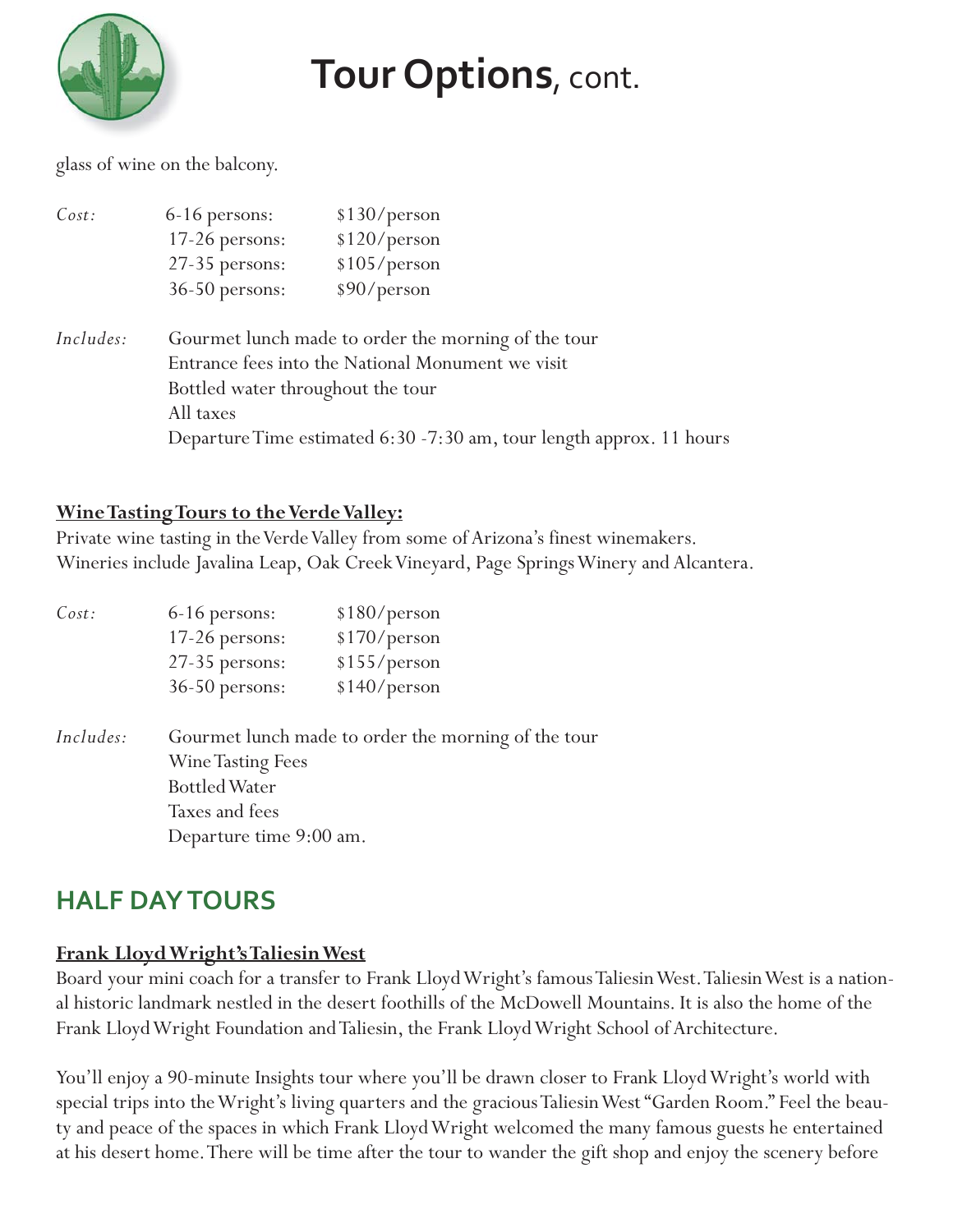

glass of wine on the balcony.

| Cost:     | 6-16 persons:                                       | \$130/person                                                         |  |
|-----------|-----------------------------------------------------|----------------------------------------------------------------------|--|
|           | 17-26 persons:                                      | \$120/person                                                         |  |
|           | 27-35 persons:                                      | \$105/person                                                         |  |
|           | $36-50$ persons:                                    | \$90/person                                                          |  |
| Includes: | Gourmet lunch made to order the morning of the tour |                                                                      |  |
|           | Entrance fees into the National Monument we visit   |                                                                      |  |
|           | Bottled water throughout the tour                   |                                                                      |  |
|           | All taxes                                           |                                                                      |  |
|           |                                                     | Departure Time estimated 6:30 -7:30 am, tour length approx. 11 hours |  |

#### **Wine Tasting Tours to the Verde Valley:**

Private wine tasting in the Verde Valley from some of Arizona's finest winemakers. Wineries include Javalina Leap, Oak Creek Vineyard, Page Springs Winery and Alcantera.

| Cost:     | 6-16 persons:                                       | \$180/person |  |
|-----------|-----------------------------------------------------|--------------|--|
|           | 17-26 persons:                                      | \$170/person |  |
|           | 27-35 persons:                                      | \$155/person |  |
|           | 36-50 persons:                                      | \$140/person |  |
| Includes: | Gourmet lunch made to order the morning of the tour |              |  |
|           | <b>Wine Tasting Fees</b>                            |              |  |
|           | <b>Bottled Water</b>                                |              |  |
|           | Taxes and fees                                      |              |  |
|           | Departure time 9:00 am.                             |              |  |

### **HALF DAY TOURS**

### **Frank Lloyd Wright's Taliesin West**

Board your mini coach for a transfer to Frank Lloyd Wright's famous Taliesin West. Taliesin West is a national historic landmark nestled in the desert foothills of the McDowell Mountains. It is also the home of the Frank Lloyd Wright Foundation and Taliesin, the Frank Lloyd Wright School of Architecture.

You'll enjoy a 90-minute Insights tour where you'll be drawn closer to Frank Lloyd Wright's world with special trips into the Wright's living quarters and the gracious Taliesin West "Garden Room." Feel the beauty and peace of the spaces in which Frank Lloyd Wright welcomed the many famous guests he entertained at his desert home. There will be time after the tour to wander the gift shop and enjoy the scenery before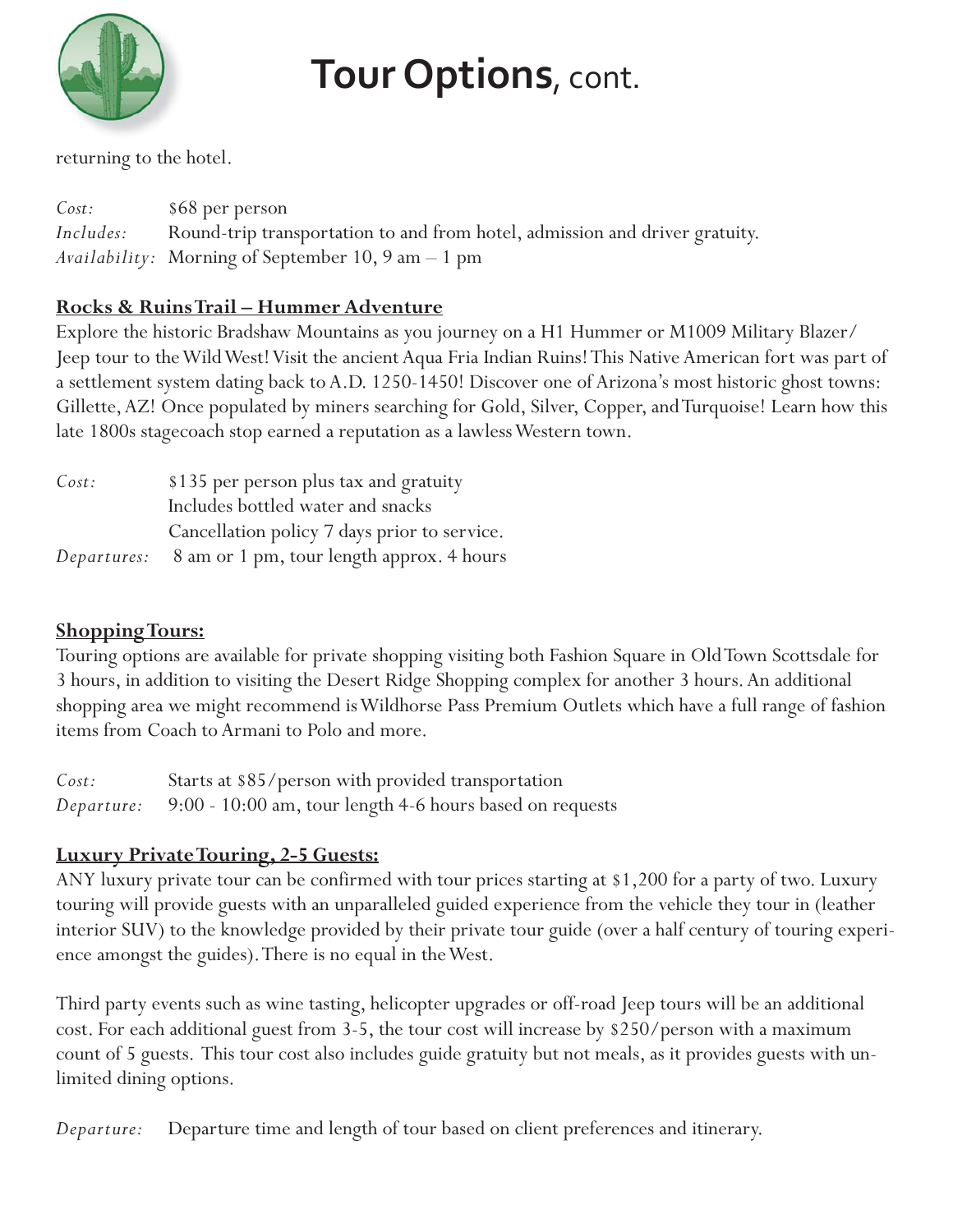

returning to the hotel.

*Cost:* \$68 per person *Includes:* Round-trip transportation to and from hotel, admission and driver gratuity. *Availability:* Morning of September 10, 9 am – 1 pm

### **Rocks & Ruins Trail – Hummer Adventure**

Explore the historic Bradshaw Mountains as you journey on a H1 Hummer or M1009 Military Blazer/ Jeep tour to the Wild West! Visit the ancient Aqua Fria Indian Ruins! This Native American fort was part of a settlement system dating back to A.D. 1250-1450! Discover one of Arizona's most historic ghost towns: Gillette, AZ! Once populated by miners searching for Gold, Silver, Copper, and Turquoise! Learn how this late 1800s stagecoach stop earned a reputation as a lawless Western town.

| Cost: | \$135 per person plus tax and gratuity                       |
|-------|--------------------------------------------------------------|
|       | Includes bottled water and snacks                            |
|       | Cancellation policy 7 days prior to service.                 |
|       | <i>Departures:</i> 8 am or 1 pm, tour length approx. 4 hours |

### **Shopping Tours:**

Touring options are available for private shopping visiting both Fashion Square in Old Town Scottsdale for 3 hours, in addition to visiting the Desert Ridge Shopping complex for another 3 hours. An additional shopping area we might recommend is Wildhorse Pass Premium Outlets which have a full range of fashion items from Coach to Armani to Polo and more.

| Cost: | Starts at \$85/person with provided transportation                  |
|-------|---------------------------------------------------------------------|
|       | Departure: 9:00 - 10:00 am, tour length 4-6 hours based on requests |

### **Luxury Private Touring, 2-5 Guests:**

ANY luxury private tour can be confirmed with tour prices starting at \$1,200 for a party of two. Luxury touring will provide guests with an unparalleled guided experience from the vehicle they tour in (leather interior SUV) to the knowledge provided by their private tour guide (over a half century of touring experience amongst the guides). There is no equal in the West.

Third party events such as wine tasting, helicopter upgrades or off-road Jeep tours will be an additional cost. For each additional guest from 3-5, the tour cost will increase by \$250/person with a maximum count of 5 guests. This tour cost also includes guide gratuity but not meals, as it provides guests with unlimited dining options.

*Departure:* Departure time and length of tour based on client preferences and itinerary.